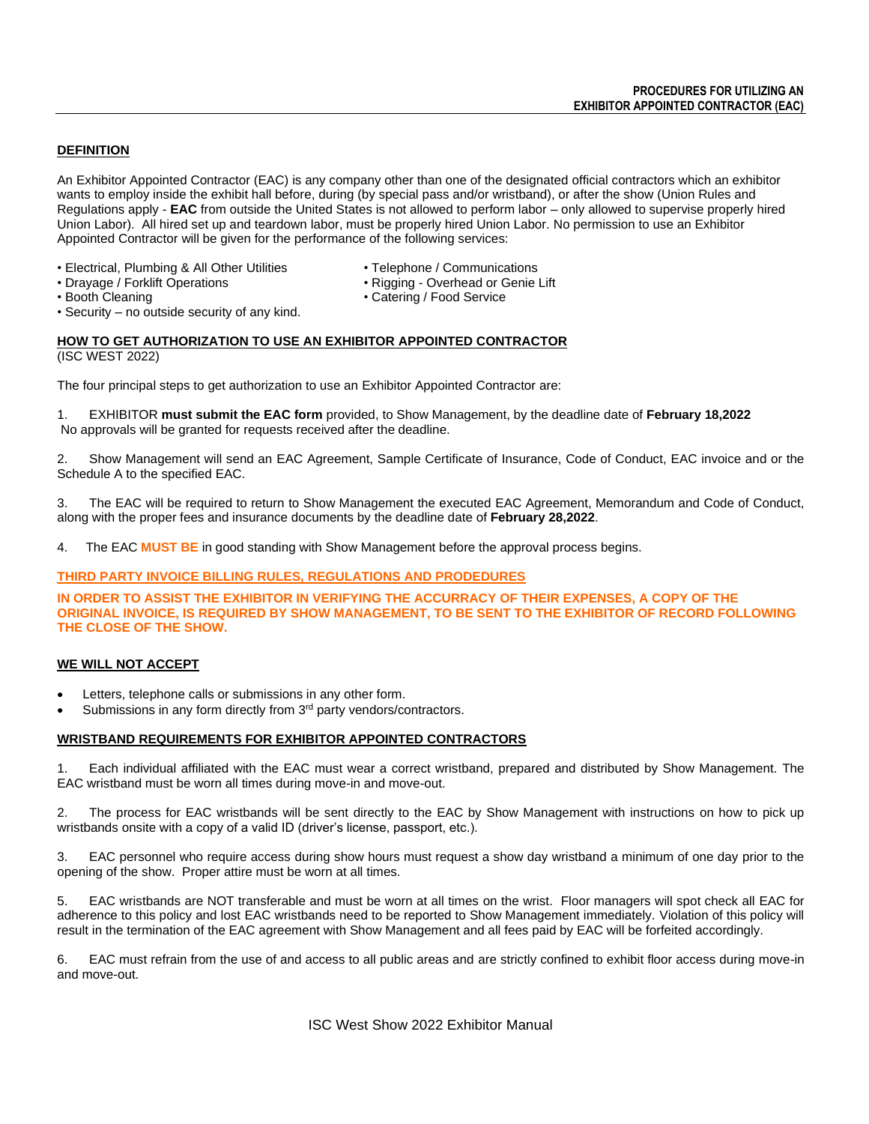# **DEFINITION**

An Exhibitor Appointed Contractor (EAC) is any company other than one of the designated official contractors which an exhibitor wants to employ inside the exhibit hall before, during (by special pass and/or wristband), or after the show (Union Rules and Regulations apply - **EAC** from outside the United States is not allowed to perform labor – only allowed to supervise properly hired Union Labor). All hired set up and teardown labor, must be properly hired Union Labor. No permission to use an Exhibitor Appointed Contractor will be given for the performance of the following services:

- Electrical, Plumbing & All Other Utilities Telephone / Communications
- Drayage / Forklift Operations  **Rigging Overhead or Genie Lift**<br>• Booth Cleaning **Catering / Food Service**
- - Catering / Food Service
- Security no outside security of any kind.

## **HOW TO GET AUTHORIZATION TO USE AN EXHIBITOR APPOINTED CONTRACTOR** (ISC WEST 2022)

The four principal steps to get authorization to use an Exhibitor Appointed Contractor are:

1. EXHIBITOR **must submit the EAC form** provided, to Show Management, by the deadline date of **February 18,2022** No approvals will be granted for requests received after the deadline.

2. Show Management will send an EAC Agreement, Sample Certificate of Insurance, Code of Conduct, EAC invoice and or the Schedule A to the specified EAC.

3. The EAC will be required to return to Show Management the executed EAC Agreement, Memorandum and Code of Conduct, along with the proper fees and insurance documents by the deadline date of **February 28,2022**.

4. The EAC **MUST BE** in good standing with Show Management before the approval process begins.

# **THIRD PARTY INVOICE BILLING RULES, REGULATIONS AND PRODEDURES**

**IN ORDER TO ASSIST THE EXHIBITOR IN VERIFYING THE ACCURRACY OF THEIR EXPENSES, A COPY OF THE ORIGINAL INVOICE, IS REQUIRED BY SHOW MANAGEMENT, TO BE SENT TO THE EXHIBITOR OF RECORD FOLLOWING THE CLOSE OF THE SHOW.**

# **WE WILL NOT ACCEPT**

- Letters, telephone calls or submissions in any other form.
- Submissions in any form directly from 3<sup>rd</sup> party vendors/contractors.

## **WRISTBAND REQUIREMENTS FOR EXHIBITOR APPOINTED CONTRACTORS**

1. Each individual affiliated with the EAC must wear a correct wristband, prepared and distributed by Show Management. The EAC wristband must be worn all times during move-in and move-out.

2. The process for EAC wristbands will be sent directly to the EAC by Show Management with instructions on how to pick up wristbands onsite with a copy of a valid ID (driver's license, passport, etc.).

3. EAC personnel who require access during show hours must request a show day wristband a minimum of one day prior to the opening of the show. Proper attire must be worn at all times.

5. EAC wristbands are NOT transferable and must be worn at all times on the wrist. Floor managers will spot check all EAC for adherence to this policy and lost EAC wristbands need to be reported to Show Management immediately. Violation of this policy will result in the termination of the EAC agreement with Show Management and all fees paid by EAC will be forfeited accordingly.

6. EAC must refrain from the use of and access to all public areas and are strictly confined to exhibit floor access during move-in and move-out.

ISC West Show 2022 Exhibitor Manual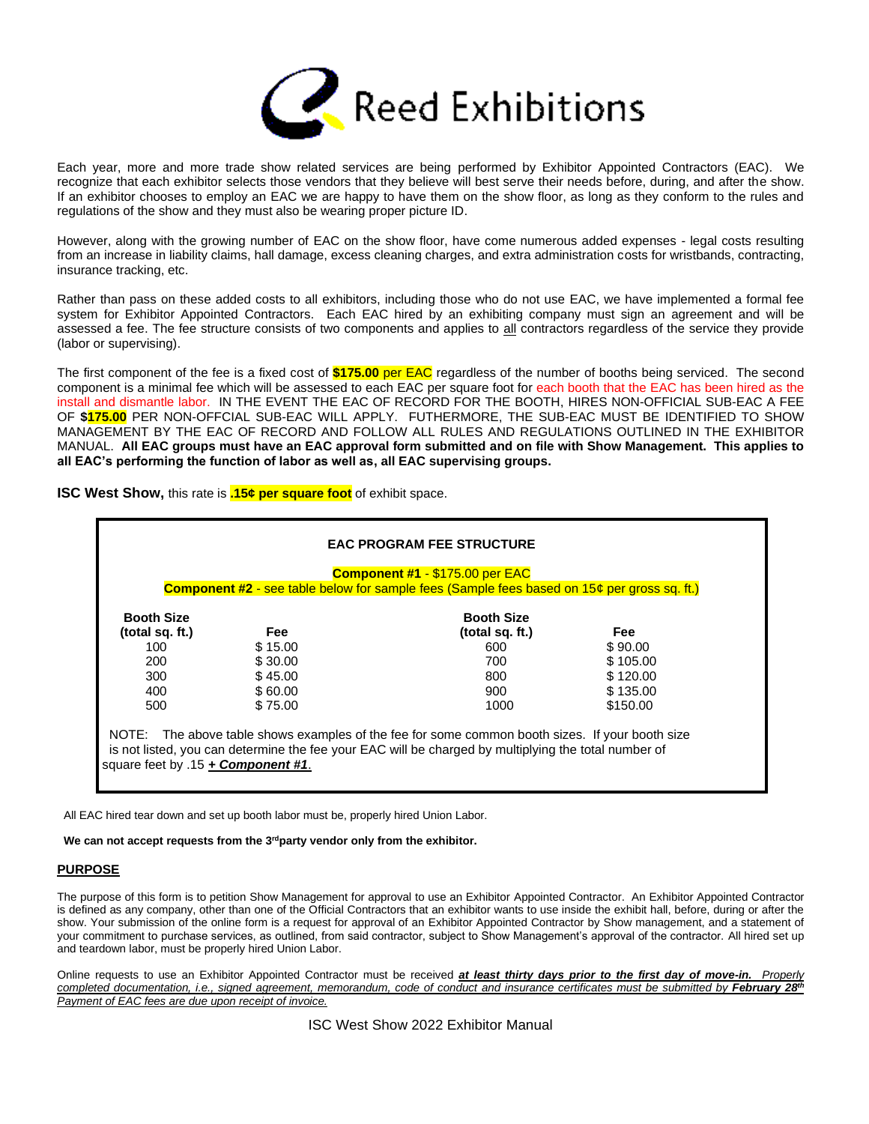

Each year, more and more trade show related services are being performed by Exhibitor Appointed Contractors (EAC). We recognize that each exhibitor selects those vendors that they believe will best serve their needs before, during, and after the show. If an exhibitor chooses to employ an EAC we are happy to have them on the show floor, as long as they conform to the rules and regulations of the show and they must also be wearing proper picture ID.

However, along with the growing number of EAC on the show floor, have come numerous added expenses - legal costs resulting from an increase in liability claims, hall damage, excess cleaning charges, and extra administration costs for wristbands, contracting, insurance tracking, etc.

Rather than pass on these added costs to all exhibitors, including those who do not use EAC, we have implemented a formal fee system for Exhibitor Appointed Contractors. Each EAC hired by an exhibiting company must sign an agreement and will be assessed a fee. The fee structure consists of two components and applies to all contractors regardless of the service they provide (labor or supervising).

The first component of the fee is a fixed cost of **\$175.00** per EAC regardless of the number of booths being serviced. The second component is a minimal fee which will be assessed to each EAC per square foot for each booth that the EAC has been hired as the install and dismantle labor. IN THE EVENT THE EAC OF RECORD FOR THE BOOTH, HIRES NON-OFFICIAL SUB-EAC A FEE OF **\$175.00** PER NON-OFFCIAL SUB-EAC WILL APPLY. FUTHERMORE, THE SUB-EAC MUST BE IDENTIFIED TO SHOW MANAGEMENT BY THE EAC OF RECORD AND FOLLOW ALL RULES AND REGULATIONS OUTLINED IN THE EXHIBITOR MANUAL. **All EAC groups must have an EAC approval form submitted and on file with Show Management. This applies to all EAC's performing the function of labor as well as, all EAC supervising groups.**

| <b>Booth Size</b> |            | <b>Booth Size</b> |            |
|-------------------|------------|-------------------|------------|
| (total sq. ft.)   | <b>Fee</b> | (total sq. ft.)   | <b>Fee</b> |
| 100               | \$15.00    | 600               | \$90.00    |
| 200               | \$30.00    | 700               | \$105.00   |
| 300               | \$45.00    | 800               | \$120.00   |
| 400               | \$60.00    | 900               | \$135.00   |
| 500               | \$75.00    | 1000              | \$150.00   |

**ISC West Show,** this rate is **.15¢ per square foot** of exhibit space.

All EAC hired tear down and set up booth labor must be, properly hired Union Labor.

We can not accept requests from the 3<sup>rd</sup> party vendor only from the exhibitor.

# **PURPOSE**

The purpose of this form is to petition Show Management for approval to use an Exhibitor Appointed Contractor. An Exhibitor Appointed Contractor is defined as any company, other than one of the Official Contractors that an exhibitor wants to use inside the exhibit hall, before, during or after the show. Your submission of the online form is a request for approval of an Exhibitor Appointed Contractor by Show management, and a statement of your commitment to purchase services, as outlined, from said contractor, subject to Show Management's approval of the contractor. All hired set up and teardown labor, must be properly hired Union Labor.

Online requests to use an Exhibitor Appointed Contractor must be received *at least thirty days prior to the first day of move-in. Properly completed documentation, i.e., signed agreement, memorandum, code of conduct and insurance certificates must be submitted by February 28 th Payment of EAC fees are due upon receipt of invoice.*

ISC West Show 2022 Exhibitor Manual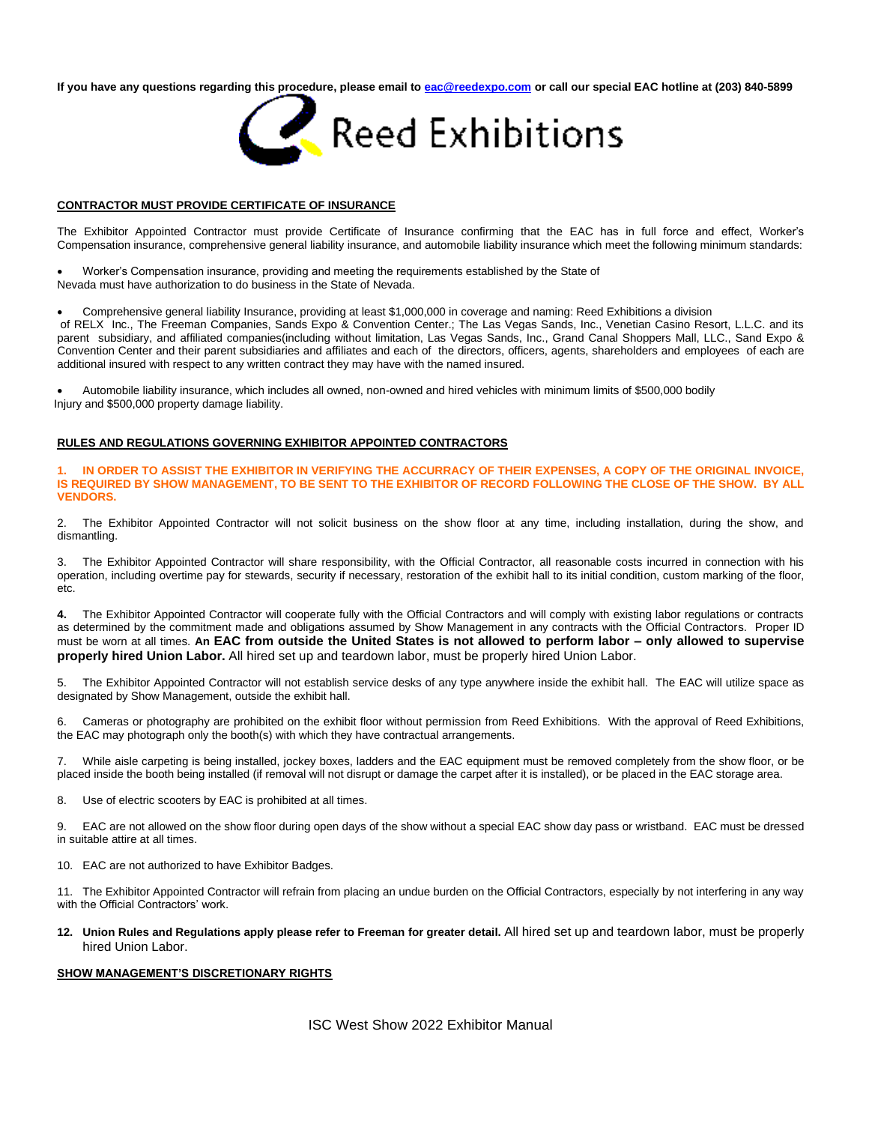**If you have any questions regarding this procedure, please email to [eac@reedexpo.com](mailto:eac@reedexpo.com) or call our special EAC hotline at (203) 840-5899**



### **CONTRACTOR MUST PROVIDE CERTIFICATE OF INSURANCE**

The Exhibitor Appointed Contractor must provide Certificate of Insurance confirming that the EAC has in full force and effect, Worker's Compensation insurance, comprehensive general liability insurance, and automobile liability insurance which meet the following minimum standards:

• Worker's Compensation insurance, providing and meeting the requirements established by the State of Nevada must have authorization to do business in the State of Nevada.

• Comprehensive general liability Insurance, providing at least \$1,000,000 in coverage and naming: Reed Exhibitions a division of RELX Inc., The Freeman Companies, Sands Expo & Convention Center.; The Las Vegas Sands, Inc., Venetian Casino Resort, L.L.C. and its parent subsidiary, and affiliated companies(including without limitation, Las Vegas Sands, Inc., Grand Canal Shoppers Mall, LLC., Sand Expo & Convention Center and their parent subsidiaries and affiliates and each of the directors, officers, agents, shareholders and employees of each are

• Automobile liability insurance, which includes all owned, non-owned and hired vehicles with minimum limits of \$500,000 bodily Injury and \$500,000 property damage liability.

## **RULES AND REGULATIONS GOVERNING EXHIBITOR APPOINTED CONTRACTORS**

additional insured with respect to any written contract they may have with the named insured.

**1. IN ORDER TO ASSIST THE EXHIBITOR IN VERIFYING THE ACCURRACY OF THEIR EXPENSES, A COPY OF THE ORIGINAL INVOICE, IS REQUIRED BY SHOW MANAGEMENT, TO BE SENT TO THE EXHIBITOR OF RECORD FOLLOWING THE CLOSE OF THE SHOW. BY ALL VENDORS.**

2. The Exhibitor Appointed Contractor will not solicit business on the show floor at any time, including installation, during the show, and dismantling.

3. The Exhibitor Appointed Contractor will share responsibility, with the Official Contractor, all reasonable costs incurred in connection with his operation, including overtime pay for stewards, security if necessary, restoration of the exhibit hall to its initial condition, custom marking of the floor, etc.

**4.** The Exhibitor Appointed Contractor will cooperate fully with the Official Contractors and will comply with existing labor regulations or contracts as determined by the commitment made and obligations assumed by Show Management in any contracts with the Official Contractors. Proper ID must be worn at all times. **An EAC from outside the United States is not allowed to perform labor – only allowed to supervise properly hired Union Labor.** All hired set up and teardown labor, must be properly hired Union Labor.

5. The Exhibitor Appointed Contractor will not establish service desks of any type anywhere inside the exhibit hall. The EAC will utilize space as designated by Show Management, outside the exhibit hall.

6. Cameras or photography are prohibited on the exhibit floor without permission from Reed Exhibitions. With the approval of Reed Exhibitions, the EAC may photograph only the booth(s) with which they have contractual arrangements.

7. While aisle carpeting is being installed, jockey boxes, ladders and the EAC equipment must be removed completely from the show floor, or be placed inside the booth being installed (if removal will not disrupt or damage the carpet after it is installed), or be placed in the EAC storage area.

8. Use of electric scooters by EAC is prohibited at all times.

9. EAC are not allowed on the show floor during open days of the show without a special EAC show day pass or wristband. EAC must be dressed in suitable attire at all times.

10. EAC are not authorized to have Exhibitor Badges.

11. The Exhibitor Appointed Contractor will refrain from placing an undue burden on the Official Contractors, especially by not interfering in any way with the Official Contractors' work.

**12. Union Rules and Regulations apply please refer to Freeman for greater detail.** All hired set up and teardown labor, must be properly hired Union Labor.

### **SHOW MANAGEMENT'S DISCRETIONARY RIGHTS**